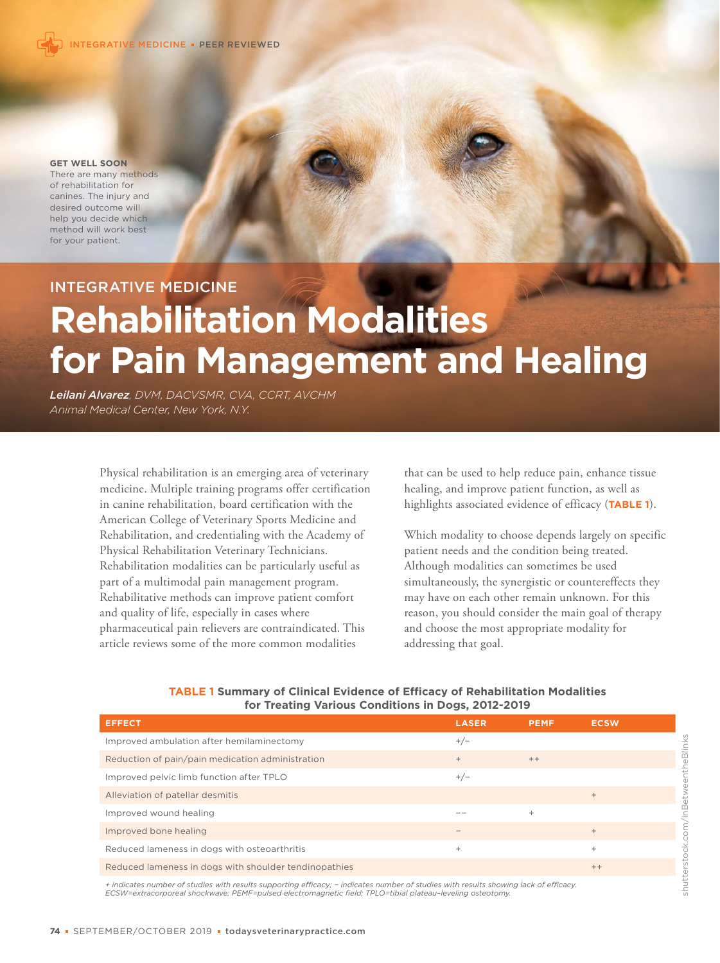

**GET WELL SOON**

There are many methods of rehabilitation for canines. The injury and desired outcome will help you decide which method will work best for your patient.

INTEGRATIVE MEDICINE

# **Rehabilitation Modalities for Pain Management and Healing**

*Leilani Alvarez, DVM, DACVSMR, CVA, CCRT, AVCHM Animal Medical Center, New York, N.Y.*

> Physical rehabilitation is an emerging area of veterinary medicine. Multiple training programs offer certification in canine rehabilitation, board certification with the American College of Veterinary Sports Medicine and Rehabilitation, and credentialing with the Academy of Physical Rehabilitation Veterinary Technicians. Rehabilitation modalities can be particularly useful as part of a multimodal pain management program. Rehabilitative methods can improve patient comfort and quality of life, especially in cases where pharmaceutical pain relievers are contraindicated. This article reviews some of the more common modalities

that can be used to help reduce pain, enhance tissue healing, and improve patient function, as well as highlights associated evidence of efficacy (**TABLE 1**).

Which modality to choose depends largely on specific patient needs and the condition being treated. Although modalities can sometimes be used simultaneously, the synergistic or countereffects they may have on each other remain unknown. For this reason, you should consider the main goal of therapy and choose the most appropriate modality for addressing that goal.

| <b>EFFECT</b>                                         | <b>LASER</b> | <b>PEMF</b> | <b>ECSW</b> |
|-------------------------------------------------------|--------------|-------------|-------------|
| Improved ambulation after hemilaminectomy             | $+/-$        |             |             |
| Reduction of pain/pain medication administration      | $+$          | $++$        |             |
| Improved pelvic limb function after TPLO              | $+/-$        |             |             |
| Alleviation of patellar desmitis                      |              |             | $+$         |
| Improved wound healing                                |              | $^{+}$      |             |
| Improved bone healing                                 |              |             | $+$         |
| Reduced lameness in dogs with osteoarthritis          | $^{+}$       |             | $^{+}$      |
| Reduced lameness in dogs with shoulder tendinopathies |              |             | $++$        |
|                                                       |              |             |             |

### **TABLE 1 Summary of Clinical Evidence of Efficacy of Rehabilitation Modalities for Treating Various Conditions in Dogs, 2012-2019**

+ indicates number of studies with results supporting efficacy; – indicates number of studies with results showing lack of efficacy.<br>ECSW=extracorporeal shockwave; PEMF=pulsed electromagnetic field; TPLO=tibial plateau-lev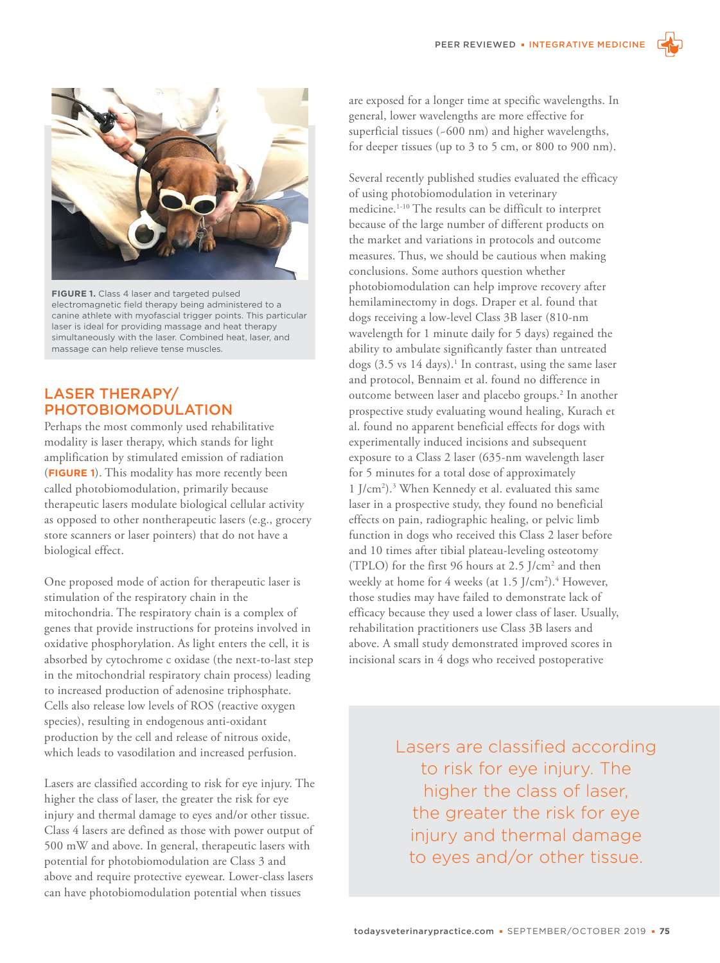

**FIGURE 1.** Class 4 laser and targeted pulsed electromagnetic field therapy being administered to a canine athlete with myofascial trigger points. This particular laser is ideal for providing massage and heat therapy simultaneously with the laser. Combined heat, laser, and massage can help relieve tense muscles.

# LASER THERAPY/ PHOTOBIOMODULATION

Perhaps the most commonly used rehabilitative modality is laser therapy, which stands for light amplification by stimulated emission of radiation (**FIGURE 1**). This modality has more recently been called photobiomodulation, primarily because therapeutic lasers modulate biological cellular activity as opposed to other nontherapeutic lasers (e.g., grocery store scanners or laser pointers) that do not have a biological effect.

One proposed mode of action for therapeutic laser is stimulation of the respiratory chain in the mitochondria. The respiratory chain is a complex of genes that provide instructions for proteins involved in oxidative phosphorylation. As light enters the cell, it is absorbed by cytochrome c oxidase (the next-to-last step in the mitochondrial respiratory chain process) leading to increased production of adenosine triphosphate. Cells also release low levels of ROS (reactive oxygen species), resulting in endogenous anti-oxidant production by the cell and release of nitrous oxide, which leads to vasodilation and increased perfusion.

Lasers are classified according to risk for eye injury. The higher the class of laser, the greater the risk for eye injury and thermal damage to eyes and/or other tissue. Class 4 lasers are defined as those with power output of 500 mW and above. In general, therapeutic lasers with potential for photobiomodulation are Class 3 and above and require protective eyewear. Lower-class lasers can have photobiomodulation potential when tissues

are exposed for a longer time at specific wavelengths. In general, lower wavelengths are more effective for superficial tissues (~600 nm) and higher wavelengths, for deeper tissues (up to 3 to 5 cm, or 800 to 900 nm).

Several recently published studies evaluated the efficacy of using photobiomodulation in veterinary medicine.1-10 The results can be difficult to interpret because of the large number of different products on the market and variations in protocols and outcome measures. Thus, we should be cautious when making conclusions. Some authors question whether photobiomodulation can help improve recovery after hemilaminectomy in dogs. Draper et al. found that dogs receiving a low-level Class 3B laser (810-nm wavelength for 1 minute daily for 5 days) regained the ability to ambulate significantly faster than untreated dogs  $(3.5 \text{ vs } 14 \text{ days})$ .<sup>1</sup> In contrast, using the same laser and protocol, Bennaim et al. found no difference in outcome between laser and placebo groups.<sup>2</sup> In another prospective study evaluating wound healing, Kurach et al. found no apparent beneficial effects for dogs with experimentally induced incisions and subsequent exposure to a Class 2 laser (635-nm wavelength laser for 5 minutes for a total dose of approximately 1 J/cm2 ).3 When Kennedy et al. evaluated this same laser in a prospective study, they found no beneficial effects on pain, radiographic healing, or pelvic limb function in dogs who received this Class 2 laser before and 10 times after tibial plateau-leveling osteotomy (TPLO) for the first 96 hours at 2.5 J/cm2 and then weekly at home for 4 weeks (at 1.5 J/cm<sup>2</sup>).<sup>4</sup> However, those studies may have failed to demonstrate lack of efficacy because they used a lower class of laser. Usually, rehabilitation practitioners use Class 3B lasers and above. A small study demonstrated improved scores in incisional scars in 4 dogs who received postoperative

> Lasers are classified according to risk for eye injury. The higher the class of laser, the greater the risk for eye injury and thermal damage to eyes and/or other tissue.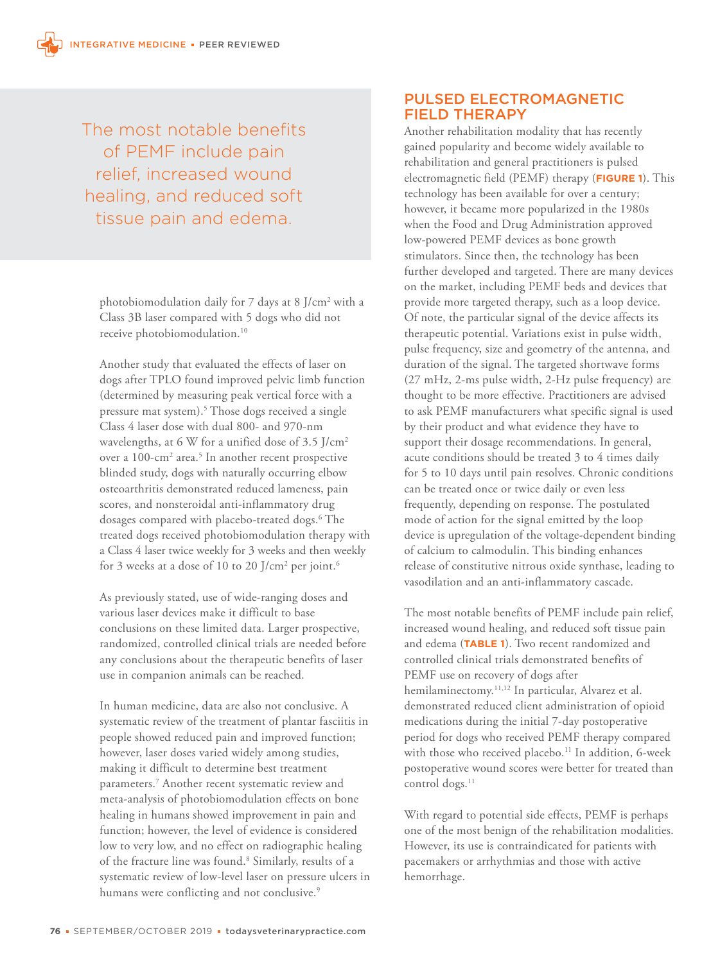The most notable benefits of PEMF include pain relief, increased wound healing, and reduced soft tissue pain and edema.

photobiomodulation daily for 7 days at 8 J/cm<sup>2</sup> with a Class 3B laser compared with 5 dogs who did not receive photobiomodulation.<sup>10</sup>

Another study that evaluated the effects of laser on dogs after TPLO found improved pelvic limb function (determined by measuring peak vertical force with a pressure mat system).<sup>5</sup> Those dogs received a single Class 4 laser dose with dual 800- and 970-nm wavelengths, at 6 W for a unified dose of 3.5 J/cm2 over a 100-cm<sup>2</sup> area.<sup>5</sup> In another recent prospective blinded study, dogs with naturally occurring elbow osteoarthritis demonstrated reduced lameness, pain scores, and nonsteroidal anti-inflammatory drug dosages compared with placebo-treated dogs.<sup>6</sup> The treated dogs received photobiomodulation therapy with a Class 4 laser twice weekly for 3 weeks and then weekly for 3 weeks at a dose of 10 to 20 J/cm $^{\rm 2}$  per joint. $^{\rm 6}$ 

As previously stated, use of wide-ranging doses and various laser devices make it difficult to base conclusions on these limited data. Larger prospective, randomized, controlled clinical trials are needed before any conclusions about the therapeutic benefits of laser use in companion animals can be reached.

In human medicine, data are also not conclusive. A systematic review of the treatment of plantar fasciitis in people showed reduced pain and improved function; however, laser doses varied widely among studies, making it difficult to determine best treatment parameters.7 Another recent systematic review and meta-analysis of photobiomodulation effects on bone healing in humans showed improvement in pain and function; however, the level of evidence is considered low to very low, and no effect on radiographic healing of the fracture line was found.<sup>8</sup> Similarly, results of a systematic review of low-level laser on pressure ulcers in humans were conflicting and not conclusive.<sup>9</sup>

# PULSED ELECTROMAGNETIC FIELD THERAPY

Another rehabilitation modality that has recently gained popularity and become widely available to rehabilitation and general practitioners is pulsed electromagnetic field (PEMF) therapy (**FIGURE 1**). This technology has been available for over a century; however, it became more popularized in the 1980s when the Food and Drug Administration approved low-powered PEMF devices as bone growth stimulators. Since then, the technology has been further developed and targeted. There are many devices on the market, including PEMF beds and devices that provide more targeted therapy, such as a loop device. Of note, the particular signal of the device affects its therapeutic potential. Variations exist in pulse width, pulse frequency, size and geometry of the antenna, and duration of the signal. The targeted shortwave forms (27 mHz, 2-ms pulse width, 2-Hz pulse frequency) are thought to be more effective. Practitioners are advised to ask PEMF manufacturers what specific signal is used by their product and what evidence they have to support their dosage recommendations. In general, acute conditions should be treated 3 to 4 times daily for 5 to 10 days until pain resolves. Chronic conditions can be treated once or twice daily or even less frequently, depending on response. The postulated mode of action for the signal emitted by the loop device is upregulation of the voltage-dependent binding of calcium to calmodulin. This binding enhances release of constitutive nitrous oxide synthase, leading to vasodilation and an anti-inflammatory cascade.

The most notable benefits of PEMF include pain relief, increased wound healing, and reduced soft tissue pain and edema (**TABLE 1**). Two recent randomized and controlled clinical trials demonstrated benefits of PEMF use on recovery of dogs after hemilaminectomy.<sup>11,12</sup> In particular, Alvarez et al. demonstrated reduced client administration of opioid medications during the initial 7-day postoperative period for dogs who received PEMF therapy compared with those who received placebo.<sup>11</sup> In addition, 6-week postoperative wound scores were better for treated than control dogs.<sup>11</sup>

With regard to potential side effects, PEMF is perhaps one of the most benign of the rehabilitation modalities. However, its use is contraindicated for patients with pacemakers or arrhythmias and those with active hemorrhage.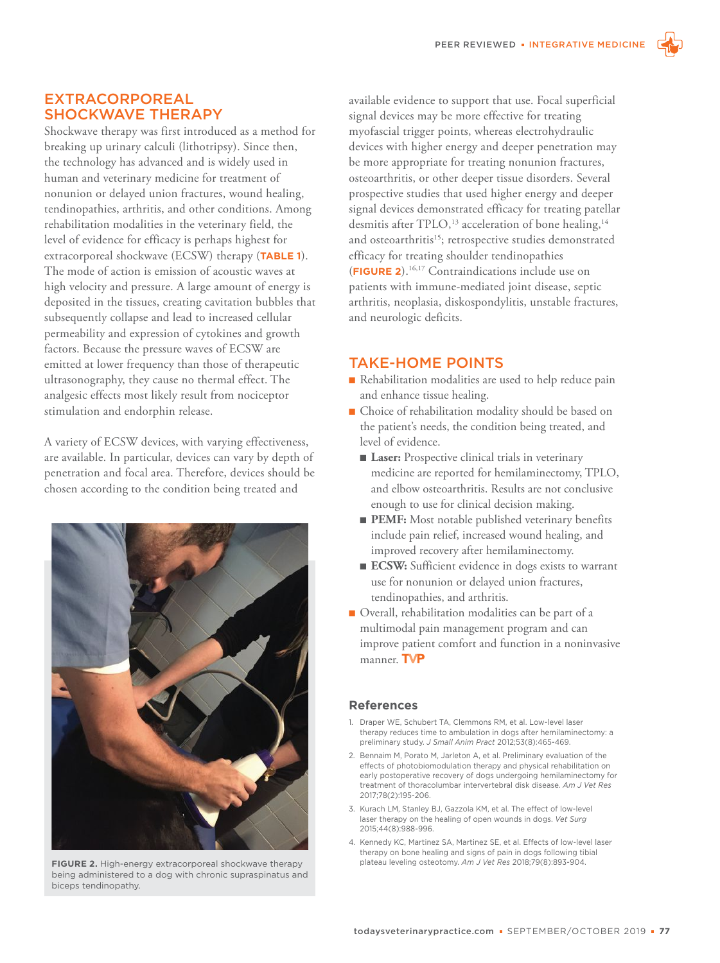

Shockwave therapy was first introduced as a method for breaking up urinary calculi (lithotripsy). Since then, the technology has advanced and is widely used in human and veterinary medicine for treatment of nonunion or delayed union fractures, wound healing, tendinopathies, arthritis, and other conditions. Among rehabilitation modalities in the veterinary field, the level of evidence for efficacy is perhaps highest for extracorporeal shockwave (ECSW) therapy (**TABLE 1**). The mode of action is emission of acoustic waves at high velocity and pressure. A large amount of energy is deposited in the tissues, creating cavitation bubbles that subsequently collapse and lead to increased cellular permeability and expression of cytokines and growth factors. Because the pressure waves of ECSW are emitted at lower frequency than those of therapeutic ultrasonography, they cause no thermal effect. The analgesic effects most likely result from nociceptor stimulation and endorphin release.

A variety of ECSW devices, with varying effectiveness, are available. In particular, devices can vary by depth of penetration and focal area. Therefore, devices should be chosen according to the condition being treated and



being administered to a dog with chronic supraspinatus and biceps tendinopathy.

available evidence to support that use. Focal superficial signal devices may be more effective for treating myofascial trigger points, whereas electrohydraulic devices with higher energy and deeper penetration may be more appropriate for treating nonunion fractures, osteoarthritis, or other deeper tissue disorders. Several prospective studies that used higher energy and deeper signal devices demonstrated efficacy for treating patellar desmitis after TPLO,<sup>13</sup> acceleration of bone healing,<sup>14</sup> and osteoarthritis<sup>15</sup>; retrospective studies demonstrated efficacy for treating shoulder tendinopathies (**FIGURE 2**).16,17 Contraindications include use on patients with immune-mediated joint disease, septic arthritis, neoplasia, diskospondylitis, unstable fractures, and neurologic deficits.

# TAKE-HOME POINTS

- $\blacksquare$  Rehabilitation modalities are used to help reduce pain and enhance tissue healing.
- $\blacksquare$  Choice of rehabilitation modality should be based on the patient's needs, the condition being treated, and level of evidence.
	- **Laser:** Prospective clinical trials in veterinary medicine are reported for hemilaminectomy, TPLO, and elbow osteoarthritis. Results are not conclusive enough to use for clinical decision making.
	- PEMF: Most notable published veterinary benefits include pain relief, increased wound healing, and improved recovery after hemilaminectomy.
	- ECSW: Sufficient evidence in dogs exists to warrant use for nonunion or delayed union fractures, tendinopathies, and arthritis.
- $\blacksquare$  Overall, rehabilitation modalities can be part of a multimodal pain management program and can improve patient comfort and function in a noninvasive manner. TVP

## **References**

- 1. Draper WE, Schubert TA, Clemmons RM, et al. Low-level laser therapy reduces time to ambulation in dogs after hemilaminectomy: a preliminary study. *J Small Anim Pract* 2012;53(8):465-469.
- 2. Bennaim M, Porato M, Jarleton A, et al. Preliminary evaluation of the effects of photobiomodulation therapy and physical rehabilitation on early postoperative recovery of dogs undergoing hemilaminectomy for treatment of thoracolumbar intervertebral disk disease. *Am J Vet Res* 2017;78(2):195-206.
- 3. Kurach LM, Stanley BJ, Gazzola KM, et al. The effect of low-level laser therapy on the healing of open wounds in dogs. *Vet Surg* 2015;44(8):988-996.
- 4. Kennedy KC, Martinez SA, Martinez SE, et al. Effects of low-level laser therapy on bone healing and signs of pain in dogs following tibial FIGURE 2. High-energy extracorporeal shockwave therapy plateau leveling osteotomy. Am J Vet Res 2018;79(8):893-904.